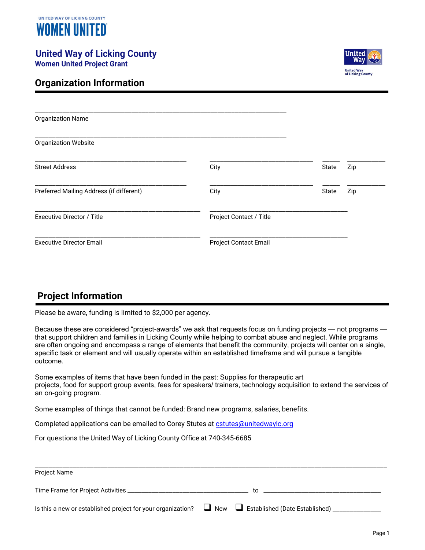

# **United Way of Licking County**

**Women United Project Grant**



#### **Organization Information**

| <b>Organization Name</b>                 |                              |       |     |
|------------------------------------------|------------------------------|-------|-----|
| <b>Organization Website</b>              |                              |       |     |
| <b>Street Address</b>                    | City                         | State | Zip |
| Preferred Mailing Address (if different) | City                         | State | Zip |
| <b>Executive Director / Title</b>        | Project Contact / Title      |       |     |
| <b>Executive Director Email</b>          | <b>Project Contact Email</b> |       |     |

### **Project Information**

Please be aware, funding is limited to \$2,000 per agency.

Because these are considered "project-awards" we ask that requests focus on funding projects — not programs that support children and families in Licking County while helping to combat abuse and neglect. While programs are often ongoing and encompass a range of elements that benefit the community, projects will center on a single, specific task or element and will usually operate within an established timeframe and will pursue a tangible outcome.

Some examples of items that have been funded in the past: Supplies for therapeutic art projects, food for support group events, fees for speakers/ trainers, technology acquisition to extend the services of an on-going program.

Some examples of things that cannot be funded: Brand new programs, salaries, benefits.

Completed applications can be emailed to Corey Stutes at [cstutes@unitedwaylc.org](mailto:cstutes@unitedwaylc.org)

For questions the United Way of Licking County Office at 740-345-6685

| <b>Project Name</b>                 |                                                                                                                             |
|-------------------------------------|-----------------------------------------------------------------------------------------------------------------------------|
| Time Frame for Project Activities _ | to                                                                                                                          |
|                                     | Is this a new or established project for your organization? $\Box$ New $\Box$ Established (Date Established) ______________ |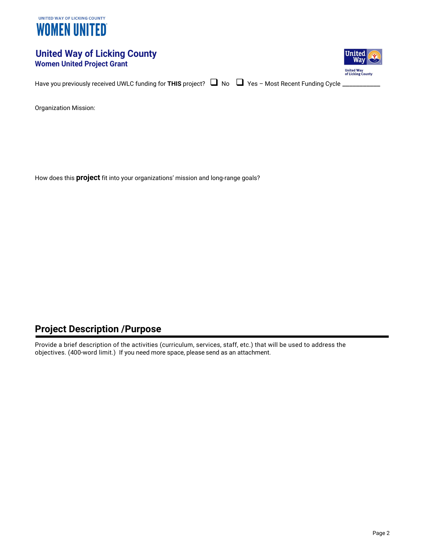

#### **United Way of Licking County Women United Project Grant**



Have you previously received UWLC funding for THIS project?  $\Box$  No  $\Box$  Yes - Most Recent Funding Cycle \_

Organization Mission:

How does this **project** fit into your organizations' mission and long-range goals?

#### **Project Description /Purpose**

Provide a brief description of the activities (curriculum, services, staff, etc.) that will be used to address the objectives. (400-word limit.) If you need more space, please send as an attachment.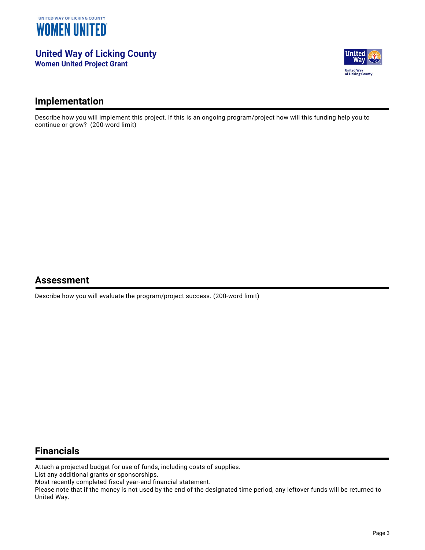

**United Way of Licking County Women United Project Grant**



#### **Implementation**

Describe how you will implement this project. If this is an ongoing program/project how will this funding help you to continue or grow? (200-word limit)

#### **Assessment**

Describe how you will evaluate the program/project success. (200-word limit)

#### **Financials**

Attach a projected budget for use of funds, including costs of supplies.

List any additional grants or sponsorships.

Most recently completed fiscal year-end financial statement.

Please note that if the money is not used by the end of the designated time period, any leftover funds will be returned to United Way.